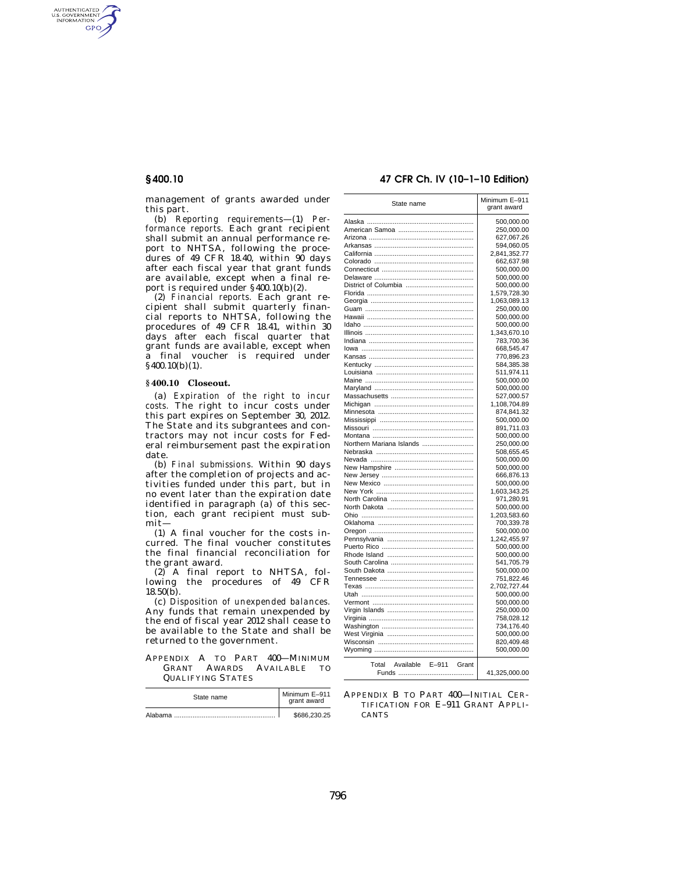AUTHENTICATED<br>U.S. GOVERNMENT<br>INFORMATION **GPO** 

> management of grants awarded under this part.

> (b) *Reporting requirements*—(1) *Performance reports.* Each grant recipient shall submit an annual performance report to NHTSA, following the procedures of  $49$  CFR 18.40, within  $90$  days after each fiscal year that grant funds are available, except when a final report is required under §400.10(b)(2).

> (2) *Financial reports.* Each grant recipient shall submit quarterly financial reports to NHTSA, following the procedures of 49 CFR 18.41, within 30 days after each fiscal quarter that grant funds are available, except when a final voucher is required under  $§$ 400.10(b)(1).

#### **§ 400.10 Closeout.**

(a) *Expiration of the right to incur costs.* The right to incur costs under this part expires on September 30, 2012. The State and its subgrantees and contractors may not incur costs for Federal reimbursement past the expiration date.

(b) *Final submissions.* Within 90 days after the completion of projects and activities funded under this part, but in no event later than the expiration date identified in paragraph (a) of this section, each grant recipient must submit—

(1) A final voucher for the costs incurred. The final voucher constitutes the final financial reconciliation for the grant award.

(2) A final report to NHTSA, following the procedures of 49 CFR  $18.50(b)$ .

(c) *Disposition of unexpended balances.*  Any funds that remain unexpended by the end of fiscal year 2012 shall cease to be available to the State and shall be returned to the government.

APPENDIX A TO PART 400—MINIMUM GRANT AWARDS AVAILABLE TO QUALIFYING STATES

| State name | Minimum E-911<br>grant award |
|------------|------------------------------|
| Alabama    | \$686,230.25                 |

#### **§ 400.10 47 CFR Ch. IV (10–1–10 Edition)**

| State name                             | Minimum E-911<br>grant award |
|----------------------------------------|------------------------------|
|                                        | 500,000.00                   |
|                                        | 250,000.00                   |
|                                        | 627,067.26                   |
|                                        | 594,060.05                   |
|                                        | 2,841,352.77                 |
|                                        | 662,637.98                   |
|                                        | 500,000.00                   |
|                                        | 500,000.00                   |
|                                        | 500,000.00                   |
|                                        | 1,579,728.30                 |
|                                        | 1,063,089.13                 |
|                                        | 250,000.00                   |
|                                        | 500,000.00                   |
|                                        | 500,000.00                   |
|                                        | 1,343,670.10                 |
|                                        | 783,700.36                   |
|                                        | 668,545.47                   |
|                                        | 770,896.23                   |
|                                        | 584,385.38                   |
|                                        | 511,974.11                   |
|                                        | 500,000.00                   |
|                                        | 500,000.00                   |
|                                        | 527,000.57                   |
|                                        | 1,108,704.89                 |
|                                        | 874,841.32                   |
|                                        | 500,000.00                   |
|                                        | 891,711.03                   |
|                                        | 500,000.00                   |
| Northern Mariana Islands               | 250,000.00                   |
|                                        | 508,655.45                   |
|                                        | 500,000.00                   |
|                                        | 500,000.00                   |
|                                        | 666,876.13                   |
|                                        | 500,000.00                   |
|                                        | 1,603,343.25                 |
|                                        | 971,280.91                   |
|                                        | 500,000.00                   |
|                                        | 1,203,583.60                 |
|                                        | 700,339.78                   |
|                                        | 500,000.00                   |
|                                        | 1,242,455.97                 |
|                                        | 500,000.00                   |
|                                        | 500,000.00                   |
|                                        | 541,705.79                   |
|                                        | 500,000.00                   |
|                                        | 751,822.46                   |
|                                        | 2,702,727.44                 |
|                                        | 500,000.00                   |
|                                        | 500,000.00                   |
|                                        | 250,000.00                   |
|                                        | 758,028.12                   |
|                                        | 734,176.40                   |
| West Virginia                          | 500,000.00                   |
|                                        | 820,409.48                   |
|                                        | 500,000.00                   |
| $E-911$<br>Total<br>Available<br>Grant |                              |
|                                        | 41,325,000.00                |
|                                        |                              |

APPENDIX B TO PART 400—INITIAL CER-TIFICATION FOR E–911 GRANT APPLI-**CANTS**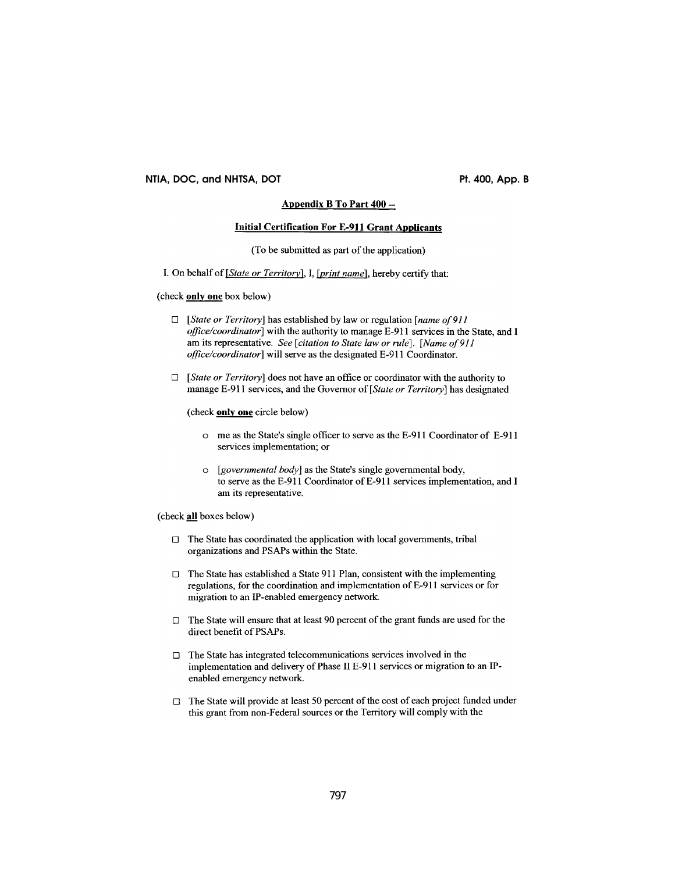## NTIA, DOC, and NHTSA, DOT

Pt. 400, App. B

# Appendix B To Part 400 --

#### **Initial Certification For E-911 Grant Applicants**

(To be submitted as part of the application)

I. On behalf of [State or Territory], I, [print name], hereby certify that:

(check only one box below)

- $\Box$  [State or Territory] has established by law or regulation [name of 911] *office/coordinator*] with the authority to manage E-911 services in the State, and I am its representative. See [citation to State law or rule]. [Name of 911] *office/coordinator*] will serve as the designated E-911 Coordinator.
- $\Box$  [State or Territory] does not have an office or coordinator with the authority to manage E-911 services, and the Governor of [State or Territory] has designated

(check only one circle below)

- o me as the State's single officer to serve as the E-911 Coordinator of E-911 services implementation; or
- o [governmental body] as the State's single governmental body, to serve as the E-911 Coordinator of E-911 services implementation, and I am its representative.

(check all boxes below)

- □ The State has coordinated the application with local governments, tribal organizations and PSAPs within the State.
- $\Box$  The State has established a State 911 Plan, consistent with the implementing regulations, for the coordination and implementation of E-911 services or for migration to an IP-enabled emergency network.
- $\Box$  The State will ensure that at least 90 percent of the grant funds are used for the direct benefit of PSAPs.
- $\Box$  The State has integrated telecommunications services involved in the implementation and delivery of Phase II E-911 services or migration to an IPenabled emergency network.
- $\Box$  The State will provide at least 50 percent of the cost of each project funded under this grant from non-Federal sources or the Territory will comply with the